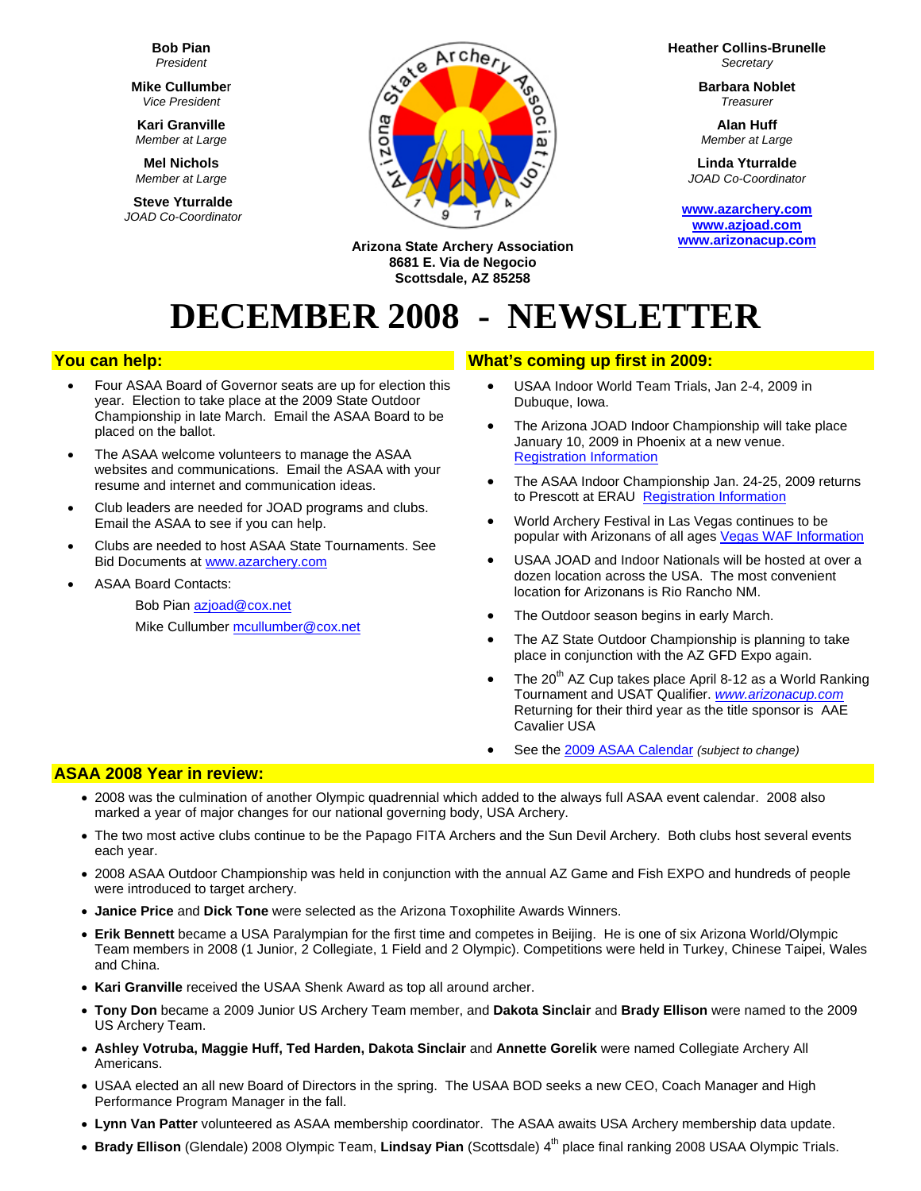**Bob Pian** *President* 

**Mike Cullumbe**r *Vice President* 

**Kari Granville**  *Member at Large*

**Mel Nichols**  *Member at Large*

**Steve Yturralde**  *JOAD Co-Coordinator* 



**Heather Collins-Brunelle** *Secretary* 

> **Barbara Noblet** *Treasurer*

**Alan Huff**  *Member at Large*

**Linda Yturralde**  *JOAD Co-Coordinator* 

**[www.azarchery.com](http://www.azarchery.com/) [www.azjoad.com](http://www.azjoad.com/) [www.arizonacup.com](http://www.arizonacup.com/)**

**Arizona State Archery Association 8681 E. Via de Negocio Scottsdale, AZ 85258** 

# **DECEMBER 2008 - NEWSLETTER**

## **You can help:**

- Four ASAA Board of Governor seats are up for election this year. Election to take place at the 2009 State Outdoor Championship in late March. Email the ASAA Board to be placed on the ballot.
- The ASAA welcome volunteers to manage the ASAA websites and communications. Email the ASAA with your resume and internet and communication ideas.
- Club leaders are needed for JOAD programs and clubs. Email the ASAA to see if you can help.
- Clubs are needed to host ASAA State Tournaments. See Bid Documents at [www.azarchery.com](http://www.azarchery.com/index.php?name=News&file=article&sid=326)
- ASAA Board Contacts:

Bob Pian [azjoad@cox.net](mailto:azjoad@cox.net) Mike Cullumber [mcullumber@cox.net](mailto:mcullumber@cox.net)

## **What's coming up first in 2009:**

- USAA Indoor World Team Trials, Jan 2-4, 2009 in Dubuque, Iowa.
- The Arizona JOAD Indoor Championship will take place January 10, 2009 in Phoenix at a new venue. [Registration Information](http://www.azarchery.com/forms/2009ArizonaStateJOADInfo.pdf)
- The ASAA Indoor Championship Jan. 24-25, 2009 returns to Prescott at ERAU [Registration Information](http://www.azarchery.com/forms/2009_ASAA_Indoor_Registration.pdf)
- World Archery Festival in Las Vegas continues to be popular with Arizonans of all ages Vegas WAF Information
- USAA JOAD and Indoor Nationals will be hosted at over a dozen location across the USA. The most convenient location for Arizonans is Rio Rancho NM.
- The Outdoor season begins in early March.
- The AZ State Outdoor Championship is planning to take place in conjunction with the AZ GFD Expo again.
- The  $20<sup>th</sup>$  AZ Cup takes place April 8-12 as a World Ranking Tournament and USAT Qualifier. *[www.arizonacup.com](http://www.arizonacup.com/)* Returning for their third year as the title sponsor is AAE Cavalier USA
- See the [2009 ASAA Calendar](http://www.azjoad.com/2008/2008-2009_Schedule_revised-10-21-2008.pdf) *(subject to change)*

# **ASAA 2008 Year in review:**

- 2008 was the culmination of another Olympic quadrennial which added to the always full ASAA event calendar. 2008 also marked a year of major changes for our national governing body, USA Archery.
- The two most active clubs continue to be the Papago FITA Archers and the Sun Devil Archery. Both clubs host several events each year.
- 2008 ASAA Outdoor Championship was held in conjunction with the annual AZ Game and Fish EXPO and hundreds of people were introduced to target archery.
- **Janice Price** and **Dick Tone** were selected as the Arizona Toxophilite Awards Winners.
- **Erik Bennett** became a USA Paralympian for the first time and competes in Beijing. He is one of six Arizona World/Olympic Team members in 2008 (1 Junior, 2 Collegiate, 1 Field and 2 Olympic). Competitions were held in Turkey, Chinese Taipei, Wales and China.
- **Kari Granville** received the USAA Shenk Award as top all around archer.
- **Tony Don** became a 2009 Junior US Archery Team member, and **Dakota Sinclair** and **Brady Ellison** were named to the 2009 US Archery Team.
- **Ashley Votruba, Maggie Huff, Ted Harden, Dakota Sinclair** and **Annette Gorelik** were named Collegiate Archery All Americans.
- USAA elected an all new Board of Directors in the spring. The USAA BOD seeks a new CEO, Coach Manager and High Performance Program Manager in the fall.
- **Lynn Van Patter** volunteered as ASAA membership coordinator. The ASAA awaits USA Archery membership data update.
- Brady Ellison (Glendale) 2008 Olympic Team, Lindsay Pian (Scottsdale) 4<sup>th</sup> place final ranking 2008 USAA Olympic Trials.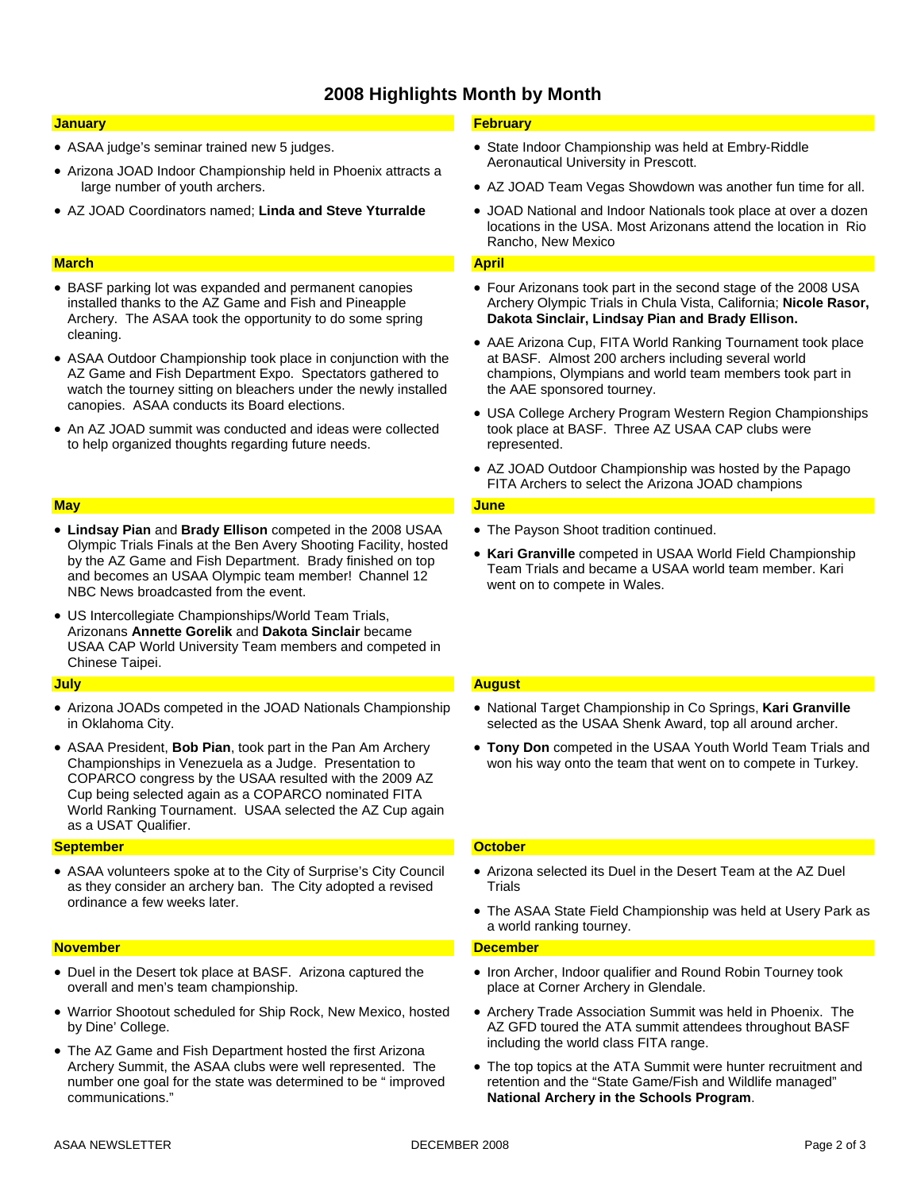# **2008 Highlights Month by Month**

#### **January**

- ASAA judge's seminar trained new 5 judges.
- Arizona JOAD Indoor Championship held in Phoenix attracts a large number of youth archers.
- AZ JOAD Coordinators named; **Linda and Steve Yturralde**

#### **March**

- BASF parking lot was expanded and permanent canopies installed thanks to the AZ Game and Fish and Pineapple Archery. The ASAA took the opportunity to do some spring cleaning.
- ASAA Outdoor Championship took place in conjunction with the AZ Game and Fish Department Expo. Spectators gathered to watch the tourney sitting on bleachers under the newly installed canopies. ASAA conducts its Board elections.
- An AZ JOAD summit was conducted and ideas were collected to help organized thoughts regarding future needs.

#### **May**

- **Lindsay Pian** and **Brady Ellison** competed in the 2008 USAA Olympic Trials Finals at the Ben Avery Shooting Facility, hosted by the AZ Game and Fish Department. Brady finished on top and becomes an USAA Olympic team member! Channel 12 NBC News broadcasted from the event.
- US Intercollegiate Championships/World Team Trials, Arizonans **Annette Gorelik** and **Dakota Sinclair** became USAA CAP World University Team members and competed in Chinese Taipei.

#### **July**

- Arizona JOADs competed in the JOAD Nationals Championship in Oklahoma City.
- ASAA President, **Bob Pian**, took part in the Pan Am Archery Championships in Venezuela as a Judge. Presentation to COPARCO congress by the USAA resulted with the 2009 AZ Cup being selected again as a COPARCO nominated FITA World Ranking Tournament. USAA selected the AZ Cup again as a USAT Qualifier.

#### **September**

• ASAA volunteers spoke at to the City of Surprise's City Council as they consider an archery ban. The City adopted a revised ordinance a few weeks later.

#### **November**

- Duel in the Desert tok place at BASF. Arizona captured the overall and men's team championship.
- Warrior Shootout scheduled for Ship Rock, New Mexico, hosted by Dine' College.
- The AZ Game and Fish Department hosted the first Arizona Archery Summit, the ASAA clubs were well represented. The number one goal for the state was determined to be " improved communications."

### **February**

- State Indoor Championship was held at Embry-Riddle Aeronautical University in Prescott.
- AZ JOAD Team Vegas Showdown was another fun time for all.
- JOAD National and Indoor Nationals took place at over a dozen locations in the USA. Most Arizonans attend the location in Rio Rancho, New Mexico

#### **April**

- Four Arizonans took part in the second stage of the 2008 USA Archery Olympic Trials in Chula Vista, California; **Nicole Rasor, Dakota Sinclair, Lindsay Pian and Brady Ellison.**
- AAE Arizona Cup, FITA World Ranking Tournament took place at BASF. Almost 200 archers including several world champions, Olympians and world team members took part in the AAE sponsored tourney.
- USA College Archery Program Western Region Championships took place at BASF. Three AZ USAA CAP clubs were represented.
- AZ JOAD Outdoor Championship was hosted by the Papago FITA Archers to select the Arizona JOAD champions

#### **June**

- The Payson Shoot tradition continued.
- **Kari Granville** competed in USAA World Field Championship Team Trials and became a USAA world team member. Kari went on to compete in Wales.

#### **August**

- National Target Championship in Co Springs, **Kari Granville** selected as the USAA Shenk Award, top all around archer.
- **Tony Don** competed in the USAA Youth World Team Trials and won his way onto the team that went on to compete in Turkey.

## **October**

- Arizona selected its Duel in the Desert Team at the AZ Duel **Trials**
- The ASAA State Field Championship was held at Usery Park as a world ranking tourney.

#### **December**

- Iron Archer, Indoor qualifier and Round Robin Tourney took place at Corner Archery in Glendale.
- Archery Trade Association Summit was held in Phoenix. The AZ GFD toured the ATA summit attendees throughout BASF including the world class FITA range.
- The top topics at the ATA Summit were hunter recruitment and retention and the "State Game/Fish and Wildlife managed" **National Archery in the Schools Program**.